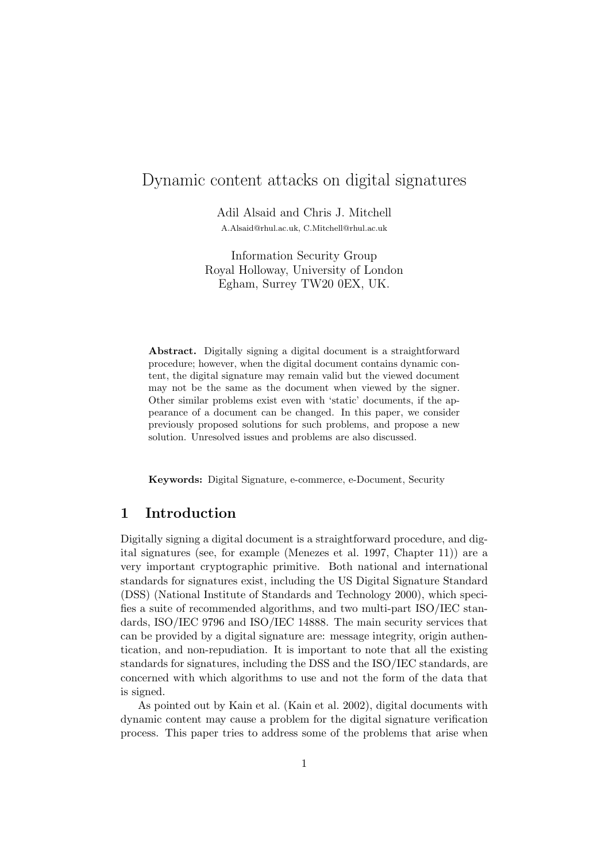# Dynamic content attacks on digital signatures

Adil Alsaid and Chris J. Mitchell A.Alsaid@rhul.ac.uk, C.Mitchell@rhul.ac.uk

Information Security Group Royal Holloway, University of London Egham, Surrey TW20 0EX, UK.

Abstract. Digitally signing a digital document is a straightforward procedure; however, when the digital document contains dynamic content, the digital signature may remain valid but the viewed document may not be the same as the document when viewed by the signer. Other similar problems exist even with 'static' documents, if the appearance of a document can be changed. In this paper, we consider previously proposed solutions for such problems, and propose a new solution. Unresolved issues and problems are also discussed.

Keywords: Digital Signature, e-commerce, e-Document, Security

## 1 Introduction

Digitally signing a digital document is a straightforward procedure, and digital signatures (see, for example (Menezes et al. 1997, Chapter 11)) are a very important cryptographic primitive. Both national and international standards for signatures exist, including the US Digital Signature Standard (DSS) (National Institute of Standards and Technology 2000), which specifies a suite of recommended algorithms, and two multi-part ISO/IEC standards, ISO/IEC 9796 and ISO/IEC 14888. The main security services that can be provided by a digital signature are: message integrity, origin authentication, and non-repudiation. It is important to note that all the existing standards for signatures, including the DSS and the ISO/IEC standards, are concerned with which algorithms to use and not the form of the data that is signed.

As pointed out by Kain et al. (Kain et al. 2002), digital documents with dynamic content may cause a problem for the digital signature verification process. This paper tries to address some of the problems that arise when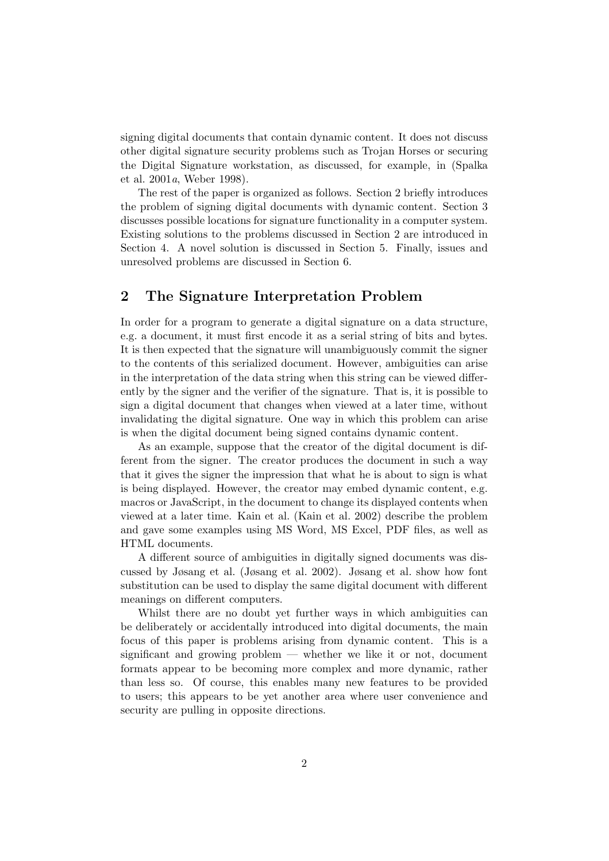signing digital documents that contain dynamic content. It does not discuss other digital signature security problems such as Trojan Horses or securing the Digital Signature workstation, as discussed, for example, in (Spalka et al. 2001a, Weber 1998).

The rest of the paper is organized as follows. Section 2 briefly introduces the problem of signing digital documents with dynamic content. Section 3 discusses possible locations for signature functionality in a computer system. Existing solutions to the problems discussed in Section 2 are introduced in Section 4. A novel solution is discussed in Section 5. Finally, issues and unresolved problems are discussed in Section 6.

## 2 The Signature Interpretation Problem

In order for a program to generate a digital signature on a data structure, e.g. a document, it must first encode it as a serial string of bits and bytes. It is then expected that the signature will unambiguously commit the signer to the contents of this serialized document. However, ambiguities can arise in the interpretation of the data string when this string can be viewed differently by the signer and the verifier of the signature. That is, it is possible to sign a digital document that changes when viewed at a later time, without invalidating the digital signature. One way in which this problem can arise is when the digital document being signed contains dynamic content.

As an example, suppose that the creator of the digital document is different from the signer. The creator produces the document in such a way that it gives the signer the impression that what he is about to sign is what is being displayed. However, the creator may embed dynamic content, e.g. macros or JavaScript, in the document to change its displayed contents when viewed at a later time. Kain et al. (Kain et al. 2002) describe the problem and gave some examples using MS Word, MS Excel, PDF files, as well as HTML documents.

A different source of ambiguities in digitally signed documents was discussed by Jøsang et al. (Jøsang et al. 2002). Jøsang et al. show how font substitution can be used to display the same digital document with different meanings on different computers.

Whilst there are no doubt yet further ways in which ambiguities can be deliberately or accidentally introduced into digital documents, the main focus of this paper is problems arising from dynamic content. This is a significant and growing problem — whether we like it or not, document formats appear to be becoming more complex and more dynamic, rather than less so. Of course, this enables many new features to be provided to users; this appears to be yet another area where user convenience and security are pulling in opposite directions.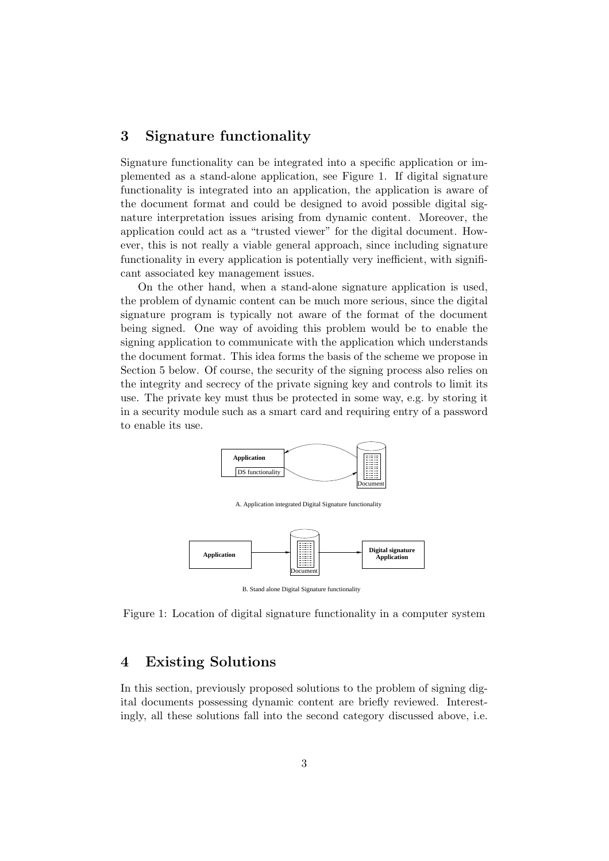## 3 Signature functionality

Signature functionality can be integrated into a specific application or implemented as a stand-alone application, see Figure 1. If digital signature functionality is integrated into an application, the application is aware of the document format and could be designed to avoid possible digital signature interpretation issues arising from dynamic content. Moreover, the application could act as a "trusted viewer" for the digital document. However, this is not really a viable general approach, since including signature functionality in every application is potentially very inefficient, with significant associated key management issues.

On the other hand, when a stand-alone signature application is used, the problem of dynamic content can be much more serious, since the digital signature program is typically not aware of the format of the document being signed. One way of avoiding this problem would be to enable the signing application to communicate with the application which understands the document format. This idea forms the basis of the scheme we propose in Section 5 below. Of course, the security of the signing process also relies on the integrity and secrecy of the private signing key and controls to limit its use. The private key must thus be protected in some way, e.g. by storing it in a security module such as a smart card and requiring entry of a password to enable its use.



A. Application integrated Digital Signature functionality



Figure 1: Location of digital signature functionality in a computer system

## 4 Existing Solutions

In this section, previously proposed solutions to the problem of signing digital documents possessing dynamic content are briefly reviewed. Interestingly, all these solutions fall into the second category discussed above, i.e.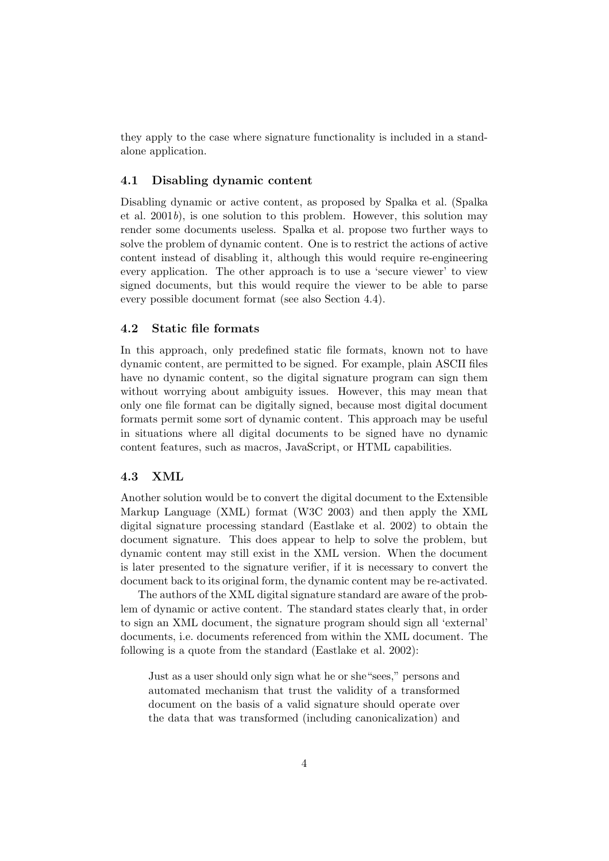they apply to the case where signature functionality is included in a standalone application.

### 4.1 Disabling dynamic content

Disabling dynamic or active content, as proposed by Spalka et al. (Spalka et al. 2001b), is one solution to this problem. However, this solution may render some documents useless. Spalka et al. propose two further ways to solve the problem of dynamic content. One is to restrict the actions of active content instead of disabling it, although this would require re-engineering every application. The other approach is to use a 'secure viewer' to view signed documents, but this would require the viewer to be able to parse every possible document format (see also Section 4.4).

### 4.2 Static file formats

In this approach, only predefined static file formats, known not to have dynamic content, are permitted to be signed. For example, plain ASCII files have no dynamic content, so the digital signature program can sign them without worrying about ambiguity issues. However, this may mean that only one file format can be digitally signed, because most digital document formats permit some sort of dynamic content. This approach may be useful in situations where all digital documents to be signed have no dynamic content features, such as macros, JavaScript, or HTML capabilities.

### 4.3 XML

Another solution would be to convert the digital document to the Extensible Markup Language (XML) format (W3C 2003) and then apply the XML digital signature processing standard (Eastlake et al. 2002) to obtain the document signature. This does appear to help to solve the problem, but dynamic content may still exist in the XML version. When the document is later presented to the signature verifier, if it is necessary to convert the document back to its original form, the dynamic content may be re-activated.

The authors of the XML digital signature standard are aware of the problem of dynamic or active content. The standard states clearly that, in order to sign an XML document, the signature program should sign all 'external' documents, i.e. documents referenced from within the XML document. The following is a quote from the standard (Eastlake et al. 2002):

Just as a user should only sign what he or she"sees," persons and automated mechanism that trust the validity of a transformed document on the basis of a valid signature should operate over the data that was transformed (including canonicalization) and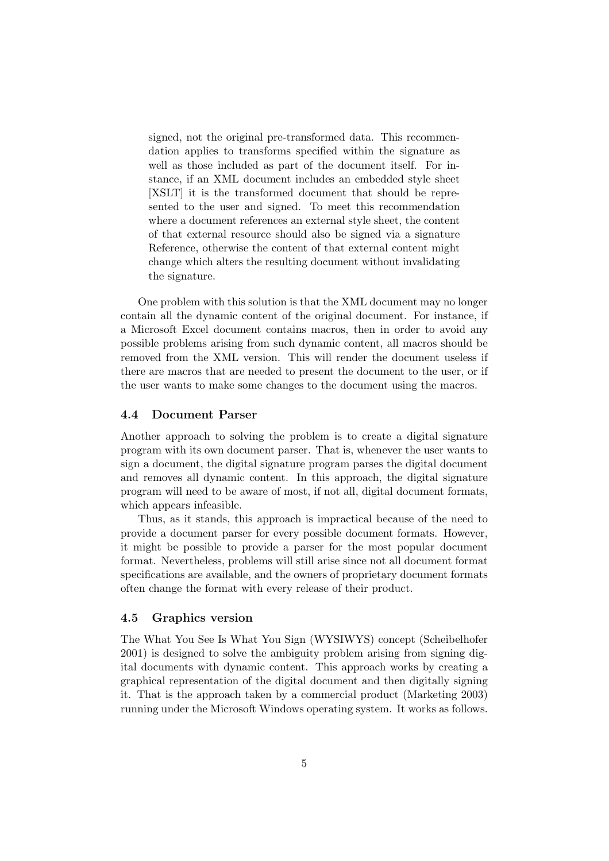signed, not the original pre-transformed data. This recommendation applies to transforms specified within the signature as well as those included as part of the document itself. For instance, if an XML document includes an embedded style sheet [XSLT] it is the transformed document that should be represented to the user and signed. To meet this recommendation where a document references an external style sheet, the content of that external resource should also be signed via a signature Reference, otherwise the content of that external content might change which alters the resulting document without invalidating the signature.

One problem with this solution is that the XML document may no longer contain all the dynamic content of the original document. For instance, if a Microsoft Excel document contains macros, then in order to avoid any possible problems arising from such dynamic content, all macros should be removed from the XML version. This will render the document useless if there are macros that are needed to present the document to the user, or if the user wants to make some changes to the document using the macros.

### 4.4 Document Parser

Another approach to solving the problem is to create a digital signature program with its own document parser. That is, whenever the user wants to sign a document, the digital signature program parses the digital document and removes all dynamic content. In this approach, the digital signature program will need to be aware of most, if not all, digital document formats, which appears infeasible.

Thus, as it stands, this approach is impractical because of the need to provide a document parser for every possible document formats. However, it might be possible to provide a parser for the most popular document format. Nevertheless, problems will still arise since not all document format specifications are available, and the owners of proprietary document formats often change the format with every release of their product.

### 4.5 Graphics version

The What You See Is What You Sign (WYSIWYS) concept (Scheibelhofer 2001) is designed to solve the ambiguity problem arising from signing digital documents with dynamic content. This approach works by creating a graphical representation of the digital document and then digitally signing it. That is the approach taken by a commercial product (Marketing 2003) running under the Microsoft Windows operating system. It works as follows.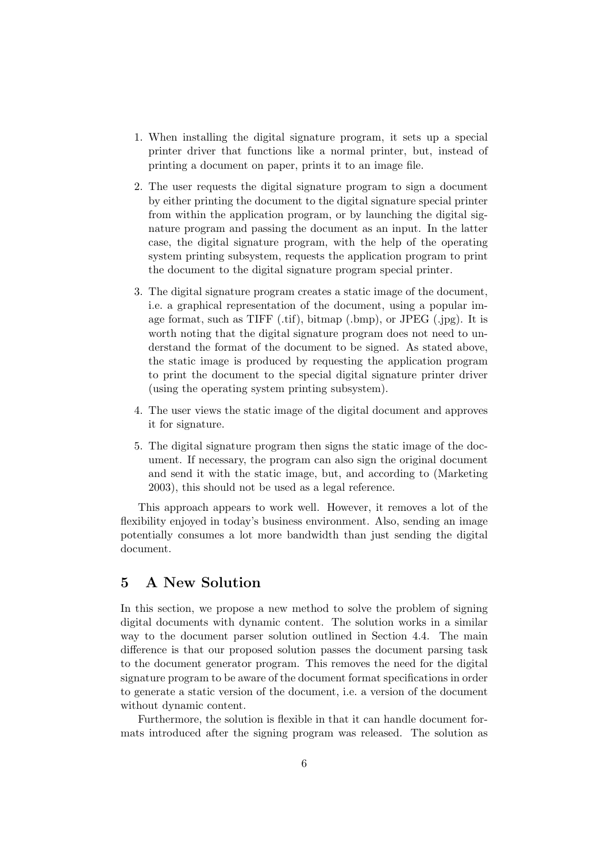- 1. When installing the digital signature program, it sets up a special printer driver that functions like a normal printer, but, instead of printing a document on paper, prints it to an image file.
- 2. The user requests the digital signature program to sign a document by either printing the document to the digital signature special printer from within the application program, or by launching the digital signature program and passing the document as an input. In the latter case, the digital signature program, with the help of the operating system printing subsystem, requests the application program to print the document to the digital signature program special printer.
- 3. The digital signature program creates a static image of the document, i.e. a graphical representation of the document, using a popular image format, such as TIFF (.tif), bitmap (.bmp), or JPEG (.jpg). It is worth noting that the digital signature program does not need to understand the format of the document to be signed. As stated above, the static image is produced by requesting the application program to print the document to the special digital signature printer driver (using the operating system printing subsystem).
- 4. The user views the static image of the digital document and approves it for signature.
- 5. The digital signature program then signs the static image of the document. If necessary, the program can also sign the original document and send it with the static image, but, and according to (Marketing 2003), this should not be used as a legal reference.

This approach appears to work well. However, it removes a lot of the flexibility enjoyed in today's business environment. Also, sending an image potentially consumes a lot more bandwidth than just sending the digital document.

## 5 A New Solution

In this section, we propose a new method to solve the problem of signing digital documents with dynamic content. The solution works in a similar way to the document parser solution outlined in Section 4.4. The main difference is that our proposed solution passes the document parsing task to the document generator program. This removes the need for the digital signature program to be aware of the document format specifications in order to generate a static version of the document, i.e. a version of the document without dynamic content.

Furthermore, the solution is flexible in that it can handle document formats introduced after the signing program was released. The solution as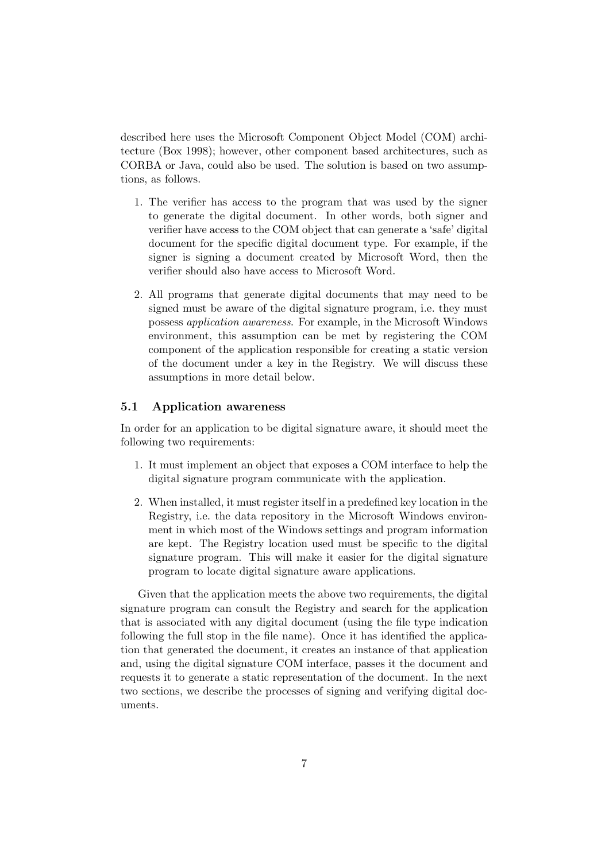described here uses the Microsoft Component Object Model (COM) architecture (Box 1998); however, other component based architectures, such as CORBA or Java, could also be used. The solution is based on two assumptions, as follows.

- 1. The verifier has access to the program that was used by the signer to generate the digital document. In other words, both signer and verifier have access to the COM object that can generate a 'safe' digital document for the specific digital document type. For example, if the signer is signing a document created by Microsoft Word, then the verifier should also have access to Microsoft Word.
- 2. All programs that generate digital documents that may need to be signed must be aware of the digital signature program, i.e. they must possess application awareness. For example, in the Microsoft Windows environment, this assumption can be met by registering the COM component of the application responsible for creating a static version of the document under a key in the Registry. We will discuss these assumptions in more detail below.

### 5.1 Application awareness

In order for an application to be digital signature aware, it should meet the following two requirements:

- 1. It must implement an object that exposes a COM interface to help the digital signature program communicate with the application.
- 2. When installed, it must register itself in a predefined key location in the Registry, i.e. the data repository in the Microsoft Windows environment in which most of the Windows settings and program information are kept. The Registry location used must be specific to the digital signature program. This will make it easier for the digital signature program to locate digital signature aware applications.

Given that the application meets the above two requirements, the digital signature program can consult the Registry and search for the application that is associated with any digital document (using the file type indication following the full stop in the file name). Once it has identified the application that generated the document, it creates an instance of that application and, using the digital signature COM interface, passes it the document and requests it to generate a static representation of the document. In the next two sections, we describe the processes of signing and verifying digital documents.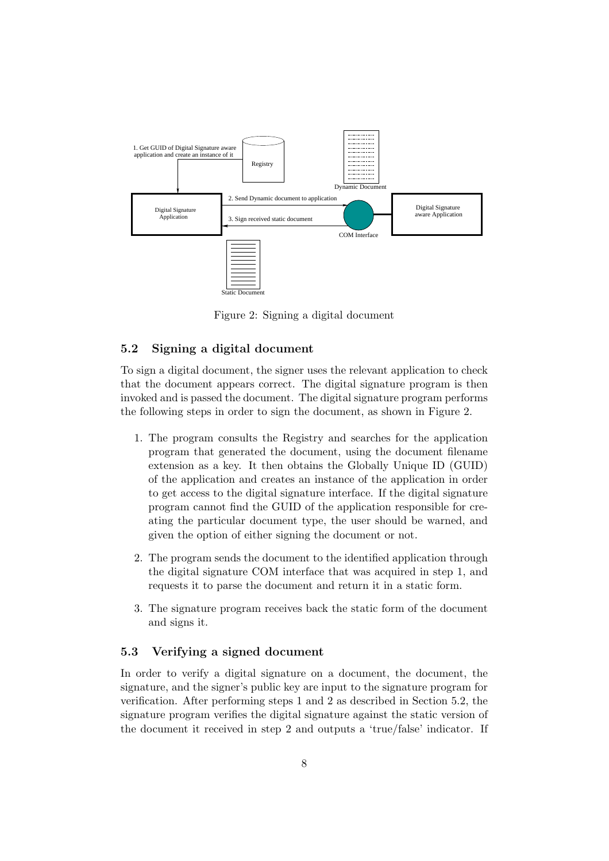

Figure 2: Signing a digital document

### 5.2 Signing a digital document

To sign a digital document, the signer uses the relevant application to check that the document appears correct. The digital signature program is then invoked and is passed the document. The digital signature program performs the following steps in order to sign the document, as shown in Figure 2.

- 1. The program consults the Registry and searches for the application program that generated the document, using the document filename extension as a key. It then obtains the Globally Unique ID (GUID) of the application and creates an instance of the application in order to get access to the digital signature interface. If the digital signature program cannot find the GUID of the application responsible for creating the particular document type, the user should be warned, and given the option of either signing the document or not.
- 2. The program sends the document to the identified application through the digital signature COM interface that was acquired in step 1, and requests it to parse the document and return it in a static form.
- 3. The signature program receives back the static form of the document and signs it.

### 5.3 Verifying a signed document

In order to verify a digital signature on a document, the document, the signature, and the signer's public key are input to the signature program for verification. After performing steps 1 and 2 as described in Section 5.2, the signature program verifies the digital signature against the static version of the document it received in step 2 and outputs a 'true/false' indicator. If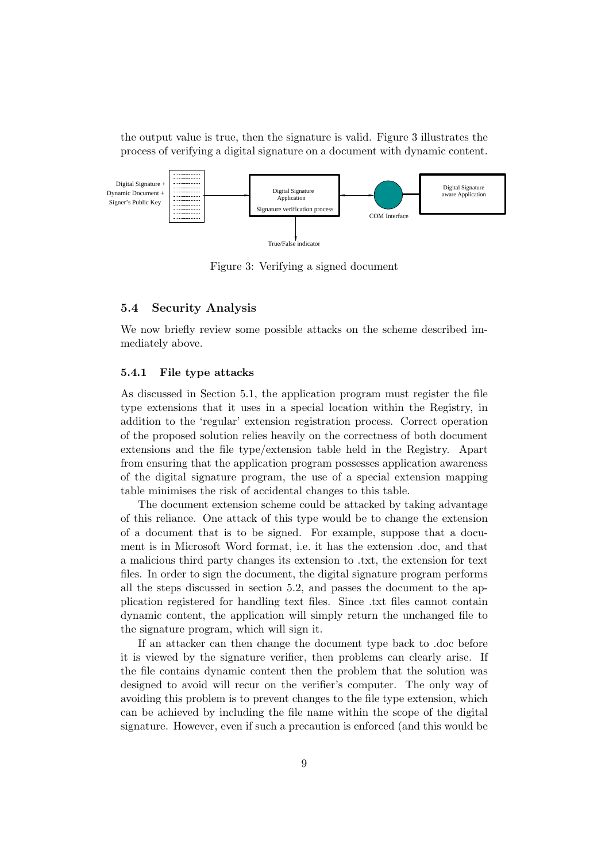the output value is true, then the signature is valid. Figure 3 illustrates the process of verifying a digital signature on a document with dynamic content.



Figure 3: Verifying a signed document

### 5.4 Security Analysis

We now briefly review some possible attacks on the scheme described immediately above.

#### 5.4.1 File type attacks

As discussed in Section 5.1, the application program must register the file type extensions that it uses in a special location within the Registry, in addition to the 'regular' extension registration process. Correct operation of the proposed solution relies heavily on the correctness of both document extensions and the file type/extension table held in the Registry. Apart from ensuring that the application program possesses application awareness of the digital signature program, the use of a special extension mapping table minimises the risk of accidental changes to this table.

The document extension scheme could be attacked by taking advantage of this reliance. One attack of this type would be to change the extension of a document that is to be signed. For example, suppose that a document is in Microsoft Word format, i.e. it has the extension .doc, and that a malicious third party changes its extension to .txt, the extension for text files. In order to sign the document, the digital signature program performs all the steps discussed in section 5.2, and passes the document to the application registered for handling text files. Since .txt files cannot contain dynamic content, the application will simply return the unchanged file to the signature program, which will sign it.

If an attacker can then change the document type back to .doc before it is viewed by the signature verifier, then problems can clearly arise. If the file contains dynamic content then the problem that the solution was designed to avoid will recur on the verifier's computer. The only way of avoiding this problem is to prevent changes to the file type extension, which can be achieved by including the file name within the scope of the digital signature. However, even if such a precaution is enforced (and this would be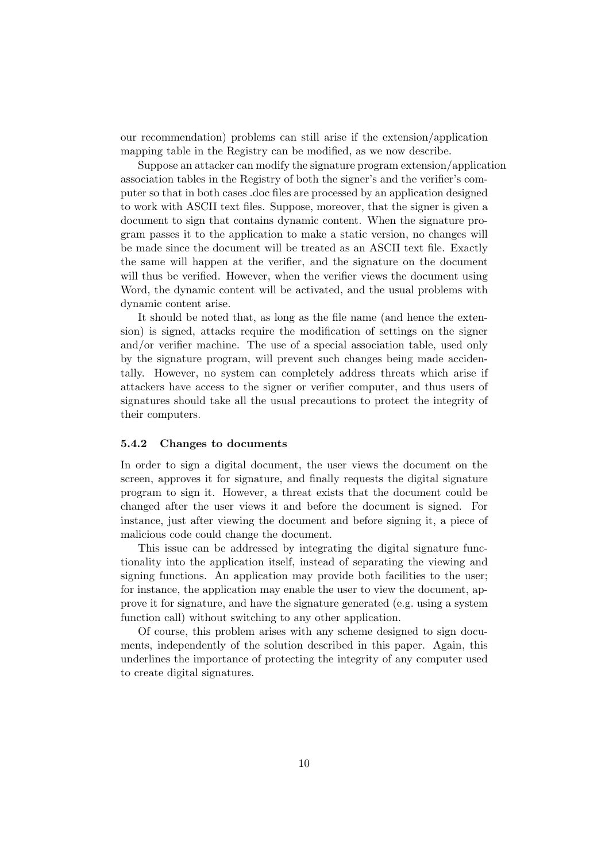our recommendation) problems can still arise if the extension/application mapping table in the Registry can be modified, as we now describe.

Suppose an attacker can modify the signature program extension/application association tables in the Registry of both the signer's and the verifier's computer so that in both cases .doc files are processed by an application designed to work with ASCII text files. Suppose, moreover, that the signer is given a document to sign that contains dynamic content. When the signature program passes it to the application to make a static version, no changes will be made since the document will be treated as an ASCII text file. Exactly the same will happen at the verifier, and the signature on the document will thus be verified. However, when the verifier views the document using Word, the dynamic content will be activated, and the usual problems with dynamic content arise.

It should be noted that, as long as the file name (and hence the extension) is signed, attacks require the modification of settings on the signer and/or verifier machine. The use of a special association table, used only by the signature program, will prevent such changes being made accidentally. However, no system can completely address threats which arise if attackers have access to the signer or verifier computer, and thus users of signatures should take all the usual precautions to protect the integrity of their computers.

#### 5.4.2 Changes to documents

In order to sign a digital document, the user views the document on the screen, approves it for signature, and finally requests the digital signature program to sign it. However, a threat exists that the document could be changed after the user views it and before the document is signed. For instance, just after viewing the document and before signing it, a piece of malicious code could change the document.

This issue can be addressed by integrating the digital signature functionality into the application itself, instead of separating the viewing and signing functions. An application may provide both facilities to the user; for instance, the application may enable the user to view the document, approve it for signature, and have the signature generated (e.g. using a system function call) without switching to any other application.

Of course, this problem arises with any scheme designed to sign documents, independently of the solution described in this paper. Again, this underlines the importance of protecting the integrity of any computer used to create digital signatures.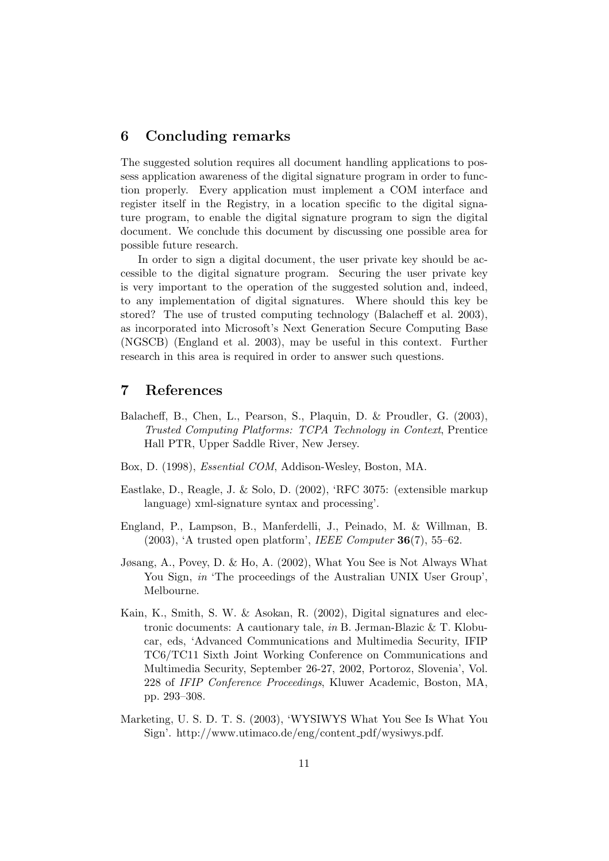### 6 Concluding remarks

The suggested solution requires all document handling applications to possess application awareness of the digital signature program in order to function properly. Every application must implement a COM interface and register itself in the Registry, in a location specific to the digital signature program, to enable the digital signature program to sign the digital document. We conclude this document by discussing one possible area for possible future research.

In order to sign a digital document, the user private key should be accessible to the digital signature program. Securing the user private key is very important to the operation of the suggested solution and, indeed, to any implementation of digital signatures. Where should this key be stored? The use of trusted computing technology (Balacheff et al. 2003), as incorporated into Microsoft's Next Generation Secure Computing Base (NGSCB) (England et al. 2003), may be useful in this context. Further research in this area is required in order to answer such questions.

## 7 References

- Balacheff, B., Chen, L., Pearson, S., Plaquin, D. & Proudler, G. (2003), Trusted Computing Platforms: TCPA Technology in Context, Prentice Hall PTR, Upper Saddle River, New Jersey.
- Box, D. (1998), Essential COM, Addison-Wesley, Boston, MA.
- Eastlake, D., Reagle, J. & Solo, D. (2002), 'RFC 3075: (extensible markup language) xml-signature syntax and processing'.
- England, P., Lampson, B., Manferdelli, J., Peinado, M. & Willman, B.  $(2003)$ , 'A trusted open platform', *IEEE Computer* **36** $(7)$ , 55–62.
- Jøsang, A., Povey, D. & Ho, A. (2002), What You See is Not Always What You Sign, in 'The proceedings of the Australian UNIX User Group', Melbourne.
- Kain, K., Smith, S. W. & Asokan, R. (2002), Digital signatures and electronic documents: A cautionary tale, in B. Jerman-Blazic & T. Klobucar, eds, 'Advanced Communications and Multimedia Security, IFIP TC6/TC11 Sixth Joint Working Conference on Communications and Multimedia Security, September 26-27, 2002, Portoroz, Slovenia', Vol. 228 of IFIP Conference Proceedings, Kluwer Academic, Boston, MA, pp. 293–308.
- Marketing, U. S. D. T. S. (2003), 'WYSIWYS What You See Is What You Sign'. http://www.utimaco.de/eng/content pdf/wysiwys.pdf.